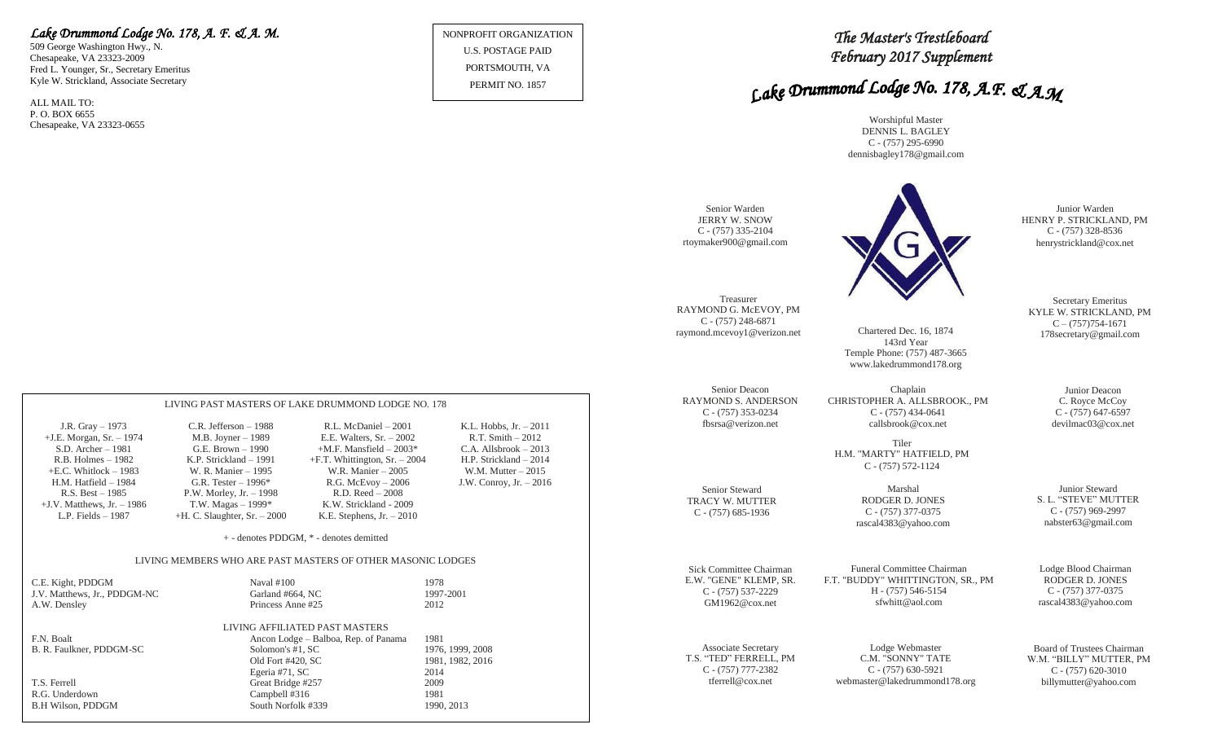# *Lake Drummond Lodge No. 178, A. F. & A. M.*

LIVING PAST MASTERS OF LAKE DRUMMOND LODGE NO. 178 J.R. Gray – 1973 C.R. Jefferson – 1988 R.L. McDaniel – 2001 K.L. Hobbs, Jr. – 2011 +J.E. Morgan, Sr. – 1974 M.B. Joyner – 1989 E.E. Walters, Sr. – 2002 R.T. Smith – 2012 G.E. Brown – 1990  $+M.F.$  Mansfield – 2003\*<br>K.P. Strickland – 1991  $+F.T.$  Whittington, Sr. – 2003\* R.B. Holmes – 1982 K.P. Strickland – 1991 +F.T. Whittington, Sr. – 2004 H.P. Strickland – 2014 +E.C. Whitlock – 1983 W. R. Manier – 1995 W.R. Manier – 2005 W.M. Mutter – 2015 H.M. Hatfield – 1984 G.R. Tester – 1996\* R.G. McEvoy – 2006 J.W. Conroy, Jr. – 2016

> + - denotes PDDGM, \* - denotes demitted LIVING MEMBERS WHO ARE PAST MASTERS OF OTHER MASONIC LODGES

> > LIVING AFFILIATED PAST MASTERS

Old Fort #420, SC 1981, 1982, 2016

Egeria #71, SC 2014

Princess Anne #25

Campbell #316

F.N. Boalt (and F.D. Physics – Balboa, Rep. of Panama 1981<br>
B.R. Faulkner, PDDGM-SC (and F.D. Solomon's #1, SC 1976, 1999, 2008)

P.W. Morley, Jr. – 1998<br>T.W. Magas – 1999\* +J.V. Matthews, Jr. – 1986 T.W. Magas – 1999\* K.W. Strickland - 2009 L.P. Fields – 1987 +H. C. Slaughter, Sr. – 2000 K.E. Stephens, Jr. – 2010

C.E. Kight, PDDGM Naval #100 1978 J.V. Matthews, Jr., PDDGM-NC Garland #664, NC 1997-2001<br>A.W. Densley Princess Anne #25 2012

T.S. Ferrell Creat Bridge #257 2009<br>R.G. Underdown Campbell #316 1981

B.H Wilson, PDDGM South Norfolk #339 1990, 2013

509 George Washington Hwy., N. Chesapeake, VA 23323-2009 Fred L. Younger, Sr., Secretary Emeritus Kyle W. Strickland, Associate Secretary

ALL MAIL TO: P. O. BOX 6655 Chesapeake, VA 23323-0655

B. R. Faulkner, PDDGM-SC

NONPROFIT ORGANIZATION U.S. POSTAGE PAID PORTSMOUTH, VA PERMIT NO. 1857

*The Master's Trestleboard February 2017 Supplement* 

# Lake Drummond Lodge No. 178, A.F. & A.M

Worshipful Master DENNIS L. BAGLEY C - (757) 295-6990 dennisbagley178@gmail.com

| Senior Warden<br><b>JERRY W. SNOW</b><br>$C - (757)$ 335-2104<br>rtoymaker900@gmail.com   |                                                                                                                                                         | Junior Warden<br>HENRY P. STRICKLAND, PM<br>$C - (757)$ 328-8536<br>henrystrickland@cox.net |
|-------------------------------------------------------------------------------------------|---------------------------------------------------------------------------------------------------------------------------------------------------------|---------------------------------------------------------------------------------------------|
| Treasurer                                                                                 | Chartered Dec. 16, 1874                                                                                                                                 | Secretary Emeritus                                                                          |
| RAYMOND G. McEVOY, PM                                                                     | 143rd Year                                                                                                                                              | KYLE W. STRICKLAND, PM                                                                      |
| $C - (757)$ 248-6871                                                                      | Temple Phone: (757) 487-3665                                                                                                                            | $C - (757)754-1671$                                                                         |
| raymond.mcevoy1@verizon.net                                                               | www.lakedrummond178.org                                                                                                                                 | 178 secretary@gmail.com                                                                     |
| Senior Deacon<br><b>RAYMOND S. ANDERSON</b><br>$C - (757)$ 353-0234<br>fbsrsa@verizon.net | Chaplain<br>CHRISTOPHER A. ALLSBROOK., PM<br>$C - (757)$ 434-0641<br>callsbrook@cox.net<br>Tiler<br>H.M. "MARTY" HATFIELD, PM<br>$C - (757) 572 - 1124$ | Junior Deacon<br>C. Royce McCoy<br>$C - (757)$ 647-6597<br>devilmac03@cox.net               |
| Senior Steward<br>TRACY W. MUTTER<br>$C - (757)$ 685-1936                                 | Marshal<br>RODGER D. JONES<br>$C - (757)$ 377-0375<br>rascal4383@yahoo.com                                                                              | Junior Steward<br>S. L. "STEVE" MUTTER<br>C - (757) 969-2997<br>nabster63@gmail.com         |
| Sick Committee Chairman                                                                   | Funeral Committee Chairman                                                                                                                              | Lodge Blood Chairman                                                                        |
| E.W. "GENE" KLEMP, SR.                                                                    | F.T. "BUDDY" WHITTINGTON, SR., PM                                                                                                                       | RODGER D. JONES                                                                             |
| $C - (757) 537 - 2229$                                                                    | H - (757) 546-5154                                                                                                                                      | $C - (757)$ 377-0375                                                                        |
| GM1962@cox.net                                                                            | sfwhitt@aol.com                                                                                                                                         | rascal4383@yahoo.com                                                                        |
| <b>Associate Secretary</b>                                                                | Lodge Webmaster                                                                                                                                         | Board of Trustees Chairman                                                                  |
| T.S. "TED" FERRELL, PM                                                                    | C.M. "SONNY" TATE                                                                                                                                       | W.M. "BILLY" MUTTER, PM                                                                     |
| $C - (757)$ 777-2382                                                                      | $C - (757)$ 630-5921                                                                                                                                    | $C - (757)$ 620-3010                                                                        |
| tferrell@cox.net                                                                          | webmaster@lakedrummond178.org                                                                                                                           | billymutter@yahoo.com                                                                       |

billymutter@yahoo.com